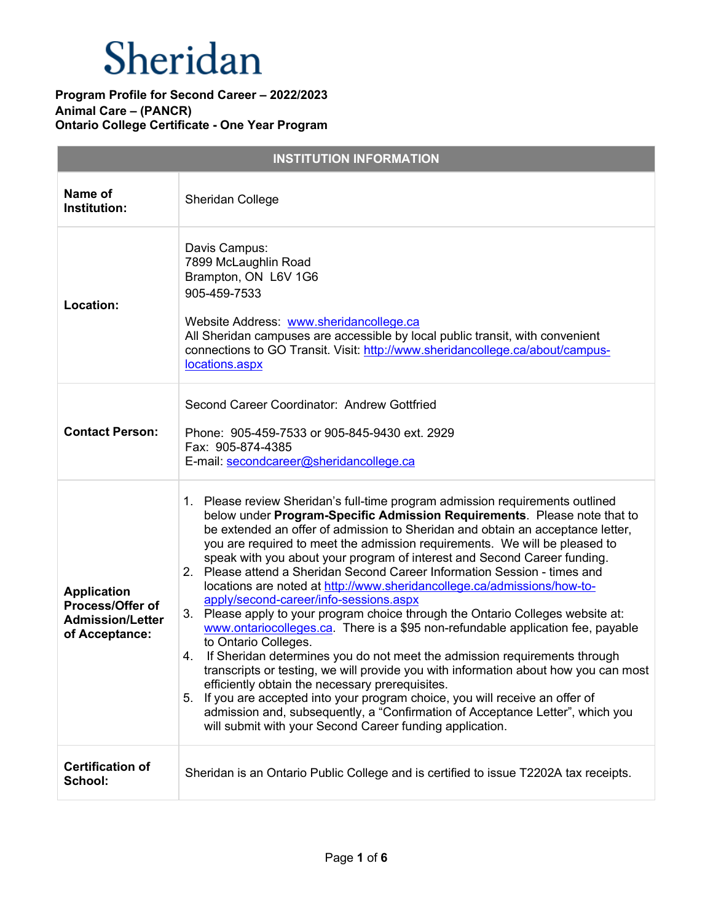| <b>INSTITUTION INFORMATION</b>                                                      |                                                                                                                                                                                                                                                                                                                                                                                                                                                                                                                                                                                                                                                                                                                                                                                                                                                                                                                                                                                                                                                                                                                                                                                                                                                                  |  |
|-------------------------------------------------------------------------------------|------------------------------------------------------------------------------------------------------------------------------------------------------------------------------------------------------------------------------------------------------------------------------------------------------------------------------------------------------------------------------------------------------------------------------------------------------------------------------------------------------------------------------------------------------------------------------------------------------------------------------------------------------------------------------------------------------------------------------------------------------------------------------------------------------------------------------------------------------------------------------------------------------------------------------------------------------------------------------------------------------------------------------------------------------------------------------------------------------------------------------------------------------------------------------------------------------------------------------------------------------------------|--|
| Name of<br>Institution:                                                             | <b>Sheridan College</b>                                                                                                                                                                                                                                                                                                                                                                                                                                                                                                                                                                                                                                                                                                                                                                                                                                                                                                                                                                                                                                                                                                                                                                                                                                          |  |
| Location:                                                                           | Davis Campus:<br>7899 McLaughlin Road<br>Brampton, ON L6V 1G6<br>905-459-7533<br>Website Address: www.sheridancollege.ca<br>All Sheridan campuses are accessible by local public transit, with convenient<br>connections to GO Transit. Visit: http://www.sheridancollege.ca/about/campus-<br>locations.aspx                                                                                                                                                                                                                                                                                                                                                                                                                                                                                                                                                                                                                                                                                                                                                                                                                                                                                                                                                     |  |
| <b>Contact Person:</b>                                                              | Second Career Coordinator: Andrew Gottfried<br>Phone: 905-459-7533 or 905-845-9430 ext. 2929<br>Fax: 905-874-4385<br>E-mail: secondcareer@sheridancollege.ca                                                                                                                                                                                                                                                                                                                                                                                                                                                                                                                                                                                                                                                                                                                                                                                                                                                                                                                                                                                                                                                                                                     |  |
| <b>Application</b><br>Process/Offer of<br><b>Admission/Letter</b><br>of Acceptance: | 1. Please review Sheridan's full-time program admission requirements outlined<br>below under Program-Specific Admission Requirements. Please note that to<br>be extended an offer of admission to Sheridan and obtain an acceptance letter,<br>you are required to meet the admission requirements. We will be pleased to<br>speak with you about your program of interest and Second Career funding.<br>2. Please attend a Sheridan Second Career Information Session - times and<br>locations are noted at http://www.sheridancollege.ca/admissions/how-to-<br>apply/second-career/info-sessions.aspx<br>3. Please apply to your program choice through the Ontario Colleges website at:<br>www.ontariocolleges.ca. There is a \$95 non-refundable application fee, payable<br>to Ontario Colleges.<br>If Sheridan determines you do not meet the admission requirements through<br>4.<br>transcripts or testing, we will provide you with information about how you can most<br>efficiently obtain the necessary prerequisites.<br>5. If you are accepted into your program choice, you will receive an offer of<br>admission and, subsequently, a "Confirmation of Acceptance Letter", which you<br>will submit with your Second Career funding application. |  |
| <b>Certification of</b><br>School:                                                  | Sheridan is an Ontario Public College and is certified to issue T2202A tax receipts.                                                                                                                                                                                                                                                                                                                                                                                                                                                                                                                                                                                                                                                                                                                                                                                                                                                                                                                                                                                                                                                                                                                                                                             |  |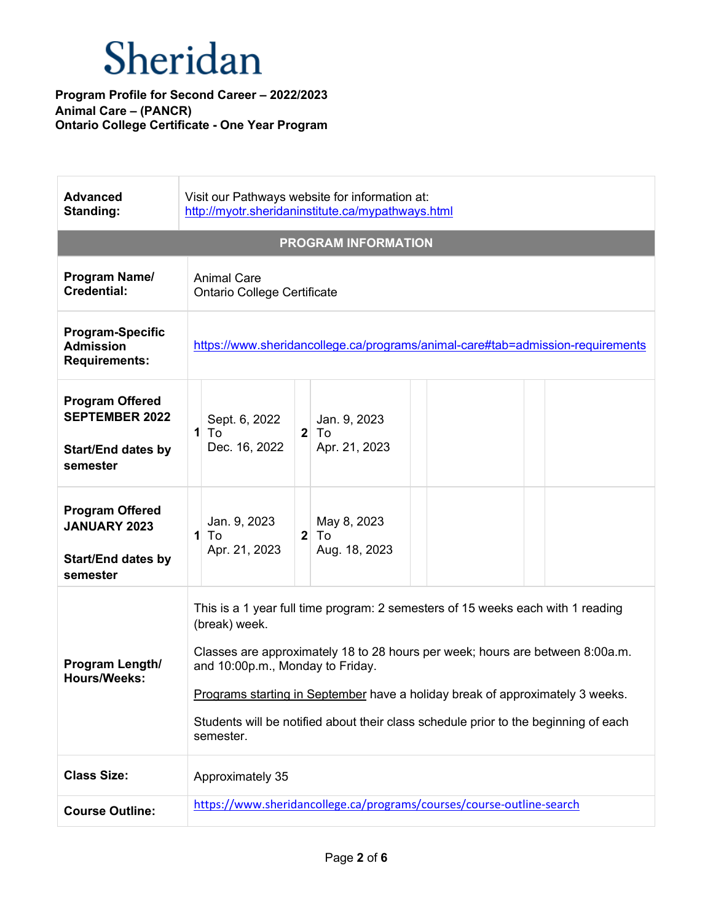| <b>Advanced</b><br>Standing:                                                             | Visit our Pathways website for information at:<br>http://myotr.sheridaninstitute.ca/mypathways.html                                                                                                                                                                                                                                                                                                        |
|------------------------------------------------------------------------------------------|------------------------------------------------------------------------------------------------------------------------------------------------------------------------------------------------------------------------------------------------------------------------------------------------------------------------------------------------------------------------------------------------------------|
|                                                                                          | <b>PROGRAM INFORMATION</b>                                                                                                                                                                                                                                                                                                                                                                                 |
| Program Name/<br><b>Credential:</b>                                                      | <b>Animal Care</b><br><b>Ontario College Certificate</b>                                                                                                                                                                                                                                                                                                                                                   |
| <b>Program-Specific</b><br><b>Admission</b><br><b>Requirements:</b>                      | https://www.sheridancollege.ca/programs/animal-care#tab=admission-requirements                                                                                                                                                                                                                                                                                                                             |
| <b>Program Offered</b><br><b>SEPTEMBER 2022</b><br><b>Start/End dates by</b><br>semester | Sept. 6, 2022<br>Jan. 9, 2023<br>$2$ To<br>$1$ To<br>Dec. 16, 2022<br>Apr. 21, 2023                                                                                                                                                                                                                                                                                                                        |
| <b>Program Offered</b><br><b>JANUARY 2023</b><br><b>Start/End dates by</b><br>semester   | Jan. 9, 2023<br>May 8, 2023<br>2 <sup>1</sup><br>$1$ To<br>To<br>Aug. 18, 2023<br>Apr. 21, 2023                                                                                                                                                                                                                                                                                                            |
| Program Length/<br><b>Hours/Weeks:</b>                                                   | This is a 1 year full time program: 2 semesters of 15 weeks each with 1 reading<br>(break) week.<br>Classes are approximately 18 to 28 hours per week; hours are between 8:00a.m.<br>and 10:00p.m., Monday to Friday.<br>Programs starting in September have a holiday break of approximately 3 weeks.<br>Students will be notified about their class schedule prior to the beginning of each<br>semester. |
| <b>Class Size:</b>                                                                       | Approximately 35                                                                                                                                                                                                                                                                                                                                                                                           |
| <b>Course Outline:</b>                                                                   | https://www.sheridancollege.ca/programs/courses/course-outline-search                                                                                                                                                                                                                                                                                                                                      |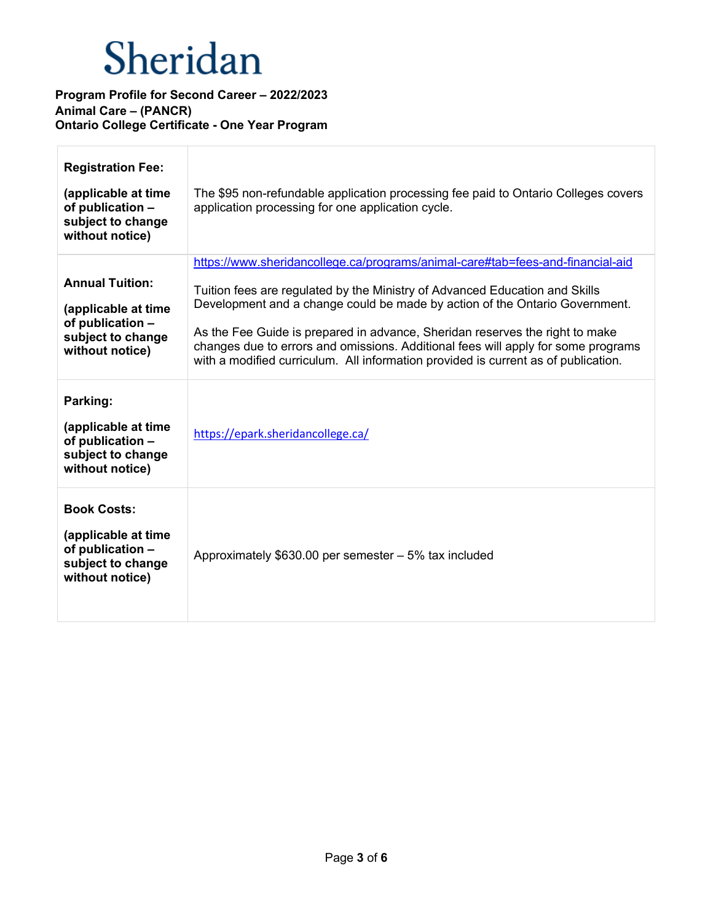| <b>Registration Fee:</b><br>(applicable at time<br>of publication -<br>subject to change<br>without notice) | The \$95 non-refundable application processing fee paid to Ontario Colleges covers<br>application processing for one application cycle.                                                                                                                                                                                                                                                                                                                                                                 |
|-------------------------------------------------------------------------------------------------------------|---------------------------------------------------------------------------------------------------------------------------------------------------------------------------------------------------------------------------------------------------------------------------------------------------------------------------------------------------------------------------------------------------------------------------------------------------------------------------------------------------------|
| <b>Annual Tuition:</b><br>(applicable at time<br>of publication -<br>subject to change<br>without notice)   | https://www.sheridancollege.ca/programs/animal-care#tab=fees-and-financial-aid<br>Tuition fees are regulated by the Ministry of Advanced Education and Skills<br>Development and a change could be made by action of the Ontario Government.<br>As the Fee Guide is prepared in advance, Sheridan reserves the right to make<br>changes due to errors and omissions. Additional fees will apply for some programs<br>with a modified curriculum. All information provided is current as of publication. |
| Parking:<br>(applicable at time<br>of publication -<br>subject to change<br>without notice)                 | https://epark.sheridancollege.ca/                                                                                                                                                                                                                                                                                                                                                                                                                                                                       |
| <b>Book Costs:</b><br>(applicable at time<br>of publication -<br>subject to change<br>without notice)       | Approximately \$630.00 per semester - 5% tax included                                                                                                                                                                                                                                                                                                                                                                                                                                                   |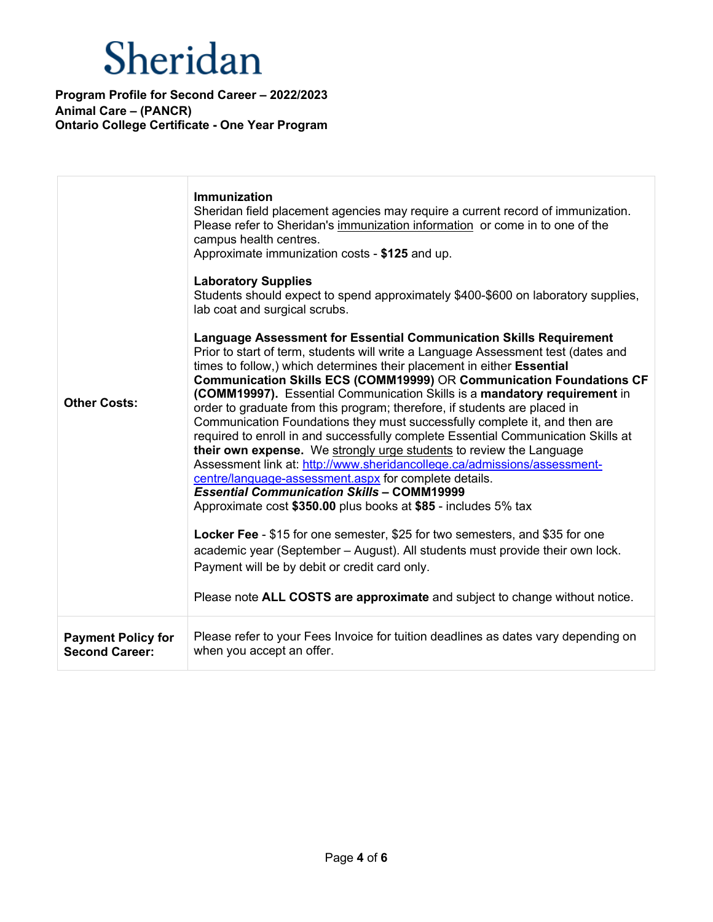| <b>Other Costs:</b>       | <b>Immunization</b><br>Sheridan field placement agencies may require a current record of immunization.<br>Please refer to Sheridan's immunization information or come in to one of the<br>campus health centres.<br>Approximate immunization costs - \$125 and up.<br><b>Laboratory Supplies</b><br>Students should expect to spend approximately \$400-\$600 on laboratory supplies,<br>lab coat and surgical scrubs.<br>Language Assessment for Essential Communication Skills Requirement<br>Prior to start of term, students will write a Language Assessment test (dates and<br>times to follow,) which determines their placement in either Essential<br>Communication Skills ECS (COMM19999) OR Communication Foundations CF<br>(COMM19997). Essential Communication Skills is a mandatory requirement in<br>order to graduate from this program; therefore, if students are placed in<br>Communication Foundations they must successfully complete it, and then are<br>required to enroll in and successfully complete Essential Communication Skills at<br>their own expense. We strongly urge students to review the Language<br>Assessment link at: http://www.sheridancollege.ca/admissions/assessment-<br>centre/language-assessment.aspx for complete details.<br><b>Essential Communication Skills - COMM19999</b><br>Approximate cost \$350.00 plus books at \$85 - includes 5% tax<br>Locker Fee - \$15 for one semester, \$25 for two semesters, and \$35 for one<br>academic year (September - August). All students must provide their own lock.<br>Payment will be by debit or credit card only.<br>Please note ALL COSTS are approximate and subject to change without notice. |
|---------------------------|------------------------------------------------------------------------------------------------------------------------------------------------------------------------------------------------------------------------------------------------------------------------------------------------------------------------------------------------------------------------------------------------------------------------------------------------------------------------------------------------------------------------------------------------------------------------------------------------------------------------------------------------------------------------------------------------------------------------------------------------------------------------------------------------------------------------------------------------------------------------------------------------------------------------------------------------------------------------------------------------------------------------------------------------------------------------------------------------------------------------------------------------------------------------------------------------------------------------------------------------------------------------------------------------------------------------------------------------------------------------------------------------------------------------------------------------------------------------------------------------------------------------------------------------------------------------------------------------------------------------------------------------------------------------------------------------------|
| <b>Payment Policy for</b> | Please refer to your Fees Invoice for tuition deadlines as dates vary depending on                                                                                                                                                                                                                                                                                                                                                                                                                                                                                                                                                                                                                                                                                                                                                                                                                                                                                                                                                                                                                                                                                                                                                                                                                                                                                                                                                                                                                                                                                                                                                                                                                   |
| <b>Second Career:</b>     | when you accept an offer.                                                                                                                                                                                                                                                                                                                                                                                                                                                                                                                                                                                                                                                                                                                                                                                                                                                                                                                                                                                                                                                                                                                                                                                                                                                                                                                                                                                                                                                                                                                                                                                                                                                                            |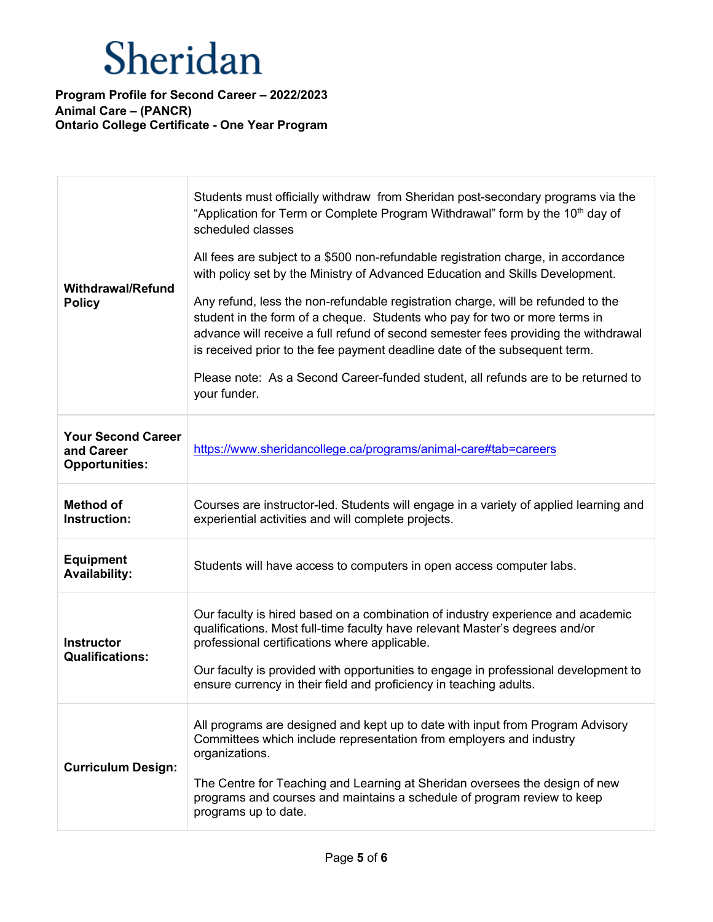| <b>Withdrawal/Refund</b><br><b>Policy</b>                        | Students must officially withdraw from Sheridan post-secondary programs via the<br>"Application for Term or Complete Program Withdrawal" form by the 10 <sup>th</sup> day of<br>scheduled classes<br>All fees are subject to a \$500 non-refundable registration charge, in accordance<br>with policy set by the Ministry of Advanced Education and Skills Development.<br>Any refund, less the non-refundable registration charge, will be refunded to the<br>student in the form of a cheque. Students who pay for two or more terms in<br>advance will receive a full refund of second semester fees providing the withdrawal<br>is received prior to the fee payment deadline date of the subsequent term.<br>Please note: As a Second Career-funded student, all refunds are to be returned to<br>your funder. |
|------------------------------------------------------------------|---------------------------------------------------------------------------------------------------------------------------------------------------------------------------------------------------------------------------------------------------------------------------------------------------------------------------------------------------------------------------------------------------------------------------------------------------------------------------------------------------------------------------------------------------------------------------------------------------------------------------------------------------------------------------------------------------------------------------------------------------------------------------------------------------------------------|
| <b>Your Second Career</b><br>and Career<br><b>Opportunities:</b> | https://www.sheridancollege.ca/programs/animal-care#tab=careers                                                                                                                                                                                                                                                                                                                                                                                                                                                                                                                                                                                                                                                                                                                                                     |
| <b>Method of</b><br>Instruction:                                 | Courses are instructor-led. Students will engage in a variety of applied learning and<br>experiential activities and will complete projects.                                                                                                                                                                                                                                                                                                                                                                                                                                                                                                                                                                                                                                                                        |
| <b>Equipment</b><br><b>Availability:</b>                         | Students will have access to computers in open access computer labs.                                                                                                                                                                                                                                                                                                                                                                                                                                                                                                                                                                                                                                                                                                                                                |
| <b>Instructor</b><br><b>Qualifications:</b>                      | Our faculty is hired based on a combination of industry experience and academic<br>qualifications. Most full-time faculty have relevant Master's degrees and/or<br>professional certifications where applicable.<br>Our faculty is provided with opportunities to engage in professional development to<br>ensure currency in their field and proficiency in teaching adults.                                                                                                                                                                                                                                                                                                                                                                                                                                       |
| <b>Curriculum Design:</b>                                        | All programs are designed and kept up to date with input from Program Advisory<br>Committees which include representation from employers and industry<br>organizations.<br>The Centre for Teaching and Learning at Sheridan oversees the design of new<br>programs and courses and maintains a schedule of program review to keep<br>programs up to date.                                                                                                                                                                                                                                                                                                                                                                                                                                                           |